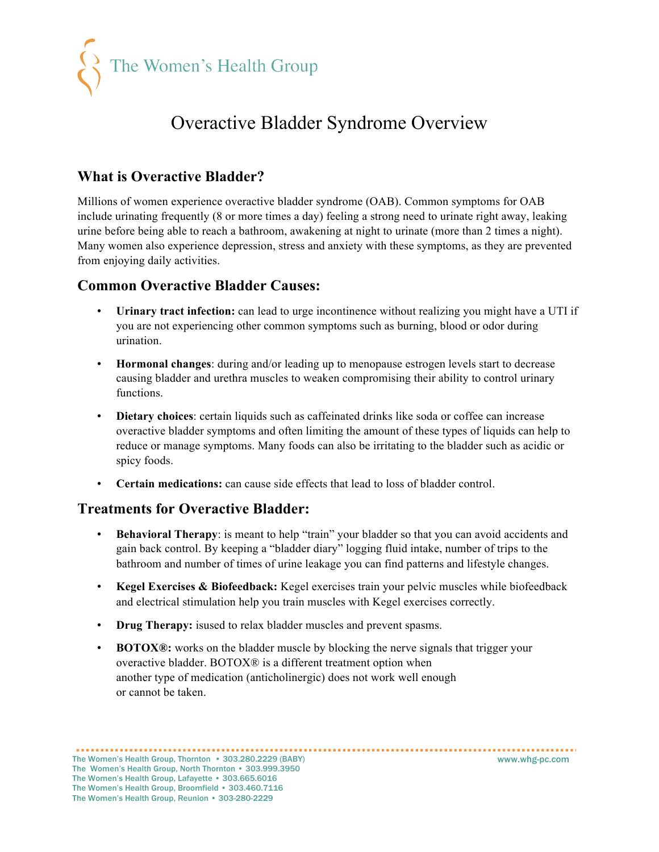

## Overactive Bladder Syndrome Overview

### **What is Overactive Bladder?**

Millions of women experience overactive bladder syndrome (OAB). Common symptoms for OAB include urinating frequently (8 or more times a day) feeling a strong need to urinate right away, leaking urine before being able to reach a bathroom, awakening at night to urinate (more than 2 times a night). Many women also experience depression, stress and anxiety with these symptoms, as they are prevented from enjoying daily activities.

#### **Common Overactive Bladder Causes:**

- **Urinary tract infection:** can lead to urge incontinence without realizing you might have a UTI if you are not experiencing other common symptoms such as burning, blood or odor during urination.
- **Hormonal changes**: during and/or leading up to menopause estrogen levels start to decrease causing bladder and urethra muscles to weaken compromising their ability to control urinary functions.
- **Dietary choices**: certain liquids such as caffeinated drinks like soda or coffee can increase overactive bladder symptoms and often limiting the amount of these types of liquids can help to reduce or manage symptoms. Many foods can also be irritating to the bladder such as acidic or spicy foods.
- **Certain medications:** can cause side effects that lead to loss of bladder control.

#### **Treatments for Overactive Bladder:**

- **Behavioral Therapy**: is meant to help "train" your bladder so that you can avoid accidents and gain back control. By keeping a "bladder diary" logging fluid intake, number of trips to the bathroom and number of times of urine leakage you can find patterns and lifestyle changes.
- **Kegel Exercises & Biofeedback:** Kegel exercises train your pelvic muscles while biofeedback and electrical stimulation help you train muscles with Kegel exercises correctly.
- **Drug Therapy:** isused to relax bladder muscles and prevent spasms.
- **BOTOX®:** works on the bladder muscle by blocking the nerve signals that trigger your overactive bladder. BOTOX® is a different treatment option when another type of medication (anticholinergic) does not work well enough or cannot be taken.